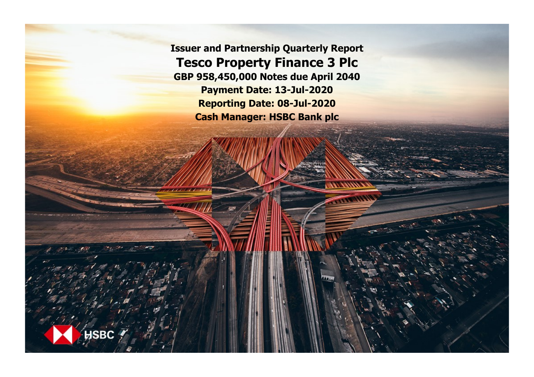**Issuer and Partnership Quarterly Report Tesco Property Finance 3 Plc GBP 958,450,000 Notes due April 2040 Payment Date: 13-Jul-2020 Reporting Date: 08-Jul-2020 Cash Manager: HSBC Bank plc**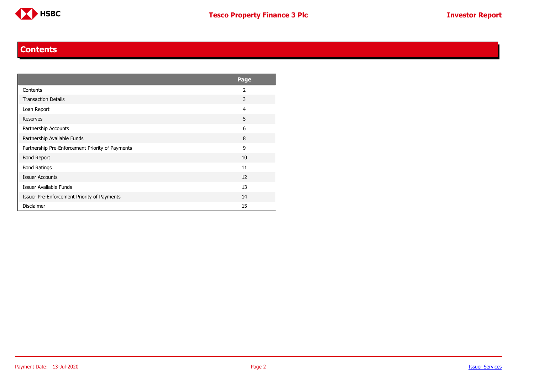

### **Contents**

<span id="page-1-0"></span>

|                                                  | <b>Page</b>    |
|--------------------------------------------------|----------------|
| Contents                                         | $\overline{2}$ |
| <b>Transaction Details</b>                       | 3              |
| Loan Report                                      | $\overline{4}$ |
| <b>Reserves</b>                                  | 5              |
| Partnership Accounts                             | 6              |
| Partnership Available Funds                      | 8              |
| Partnership Pre-Enforcement Priority of Payments | 9              |
| <b>Bond Report</b>                               | 10             |
| <b>Bond Ratings</b>                              | 11             |
| <b>Issuer Accounts</b>                           | 12             |
| <b>Issuer Available Funds</b>                    | 13             |
| Issuer Pre-Enforcement Priority of Payments      | 14             |
| <b>Disclaimer</b>                                | 15             |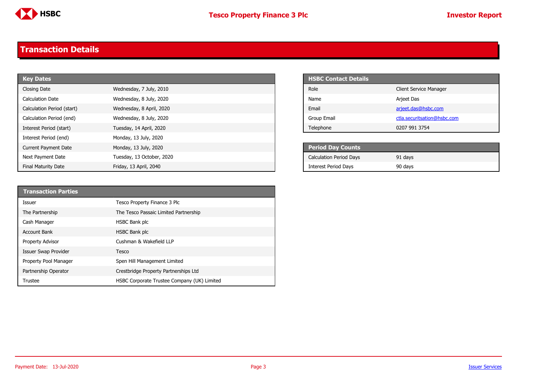

# <span id="page-2-0"></span>**Transaction Details**

| <b>Key Dates</b>            |                           | <b>HSBC Contact Details</b>    |
|-----------------------------|---------------------------|--------------------------------|
| Closing Date                | Wednesday, 7 July, 2010   | Role                           |
| <b>Calculation Date</b>     | Wednesday, 8 July, 2020   | Name                           |
| Calculation Period (start)  | Wednesday, 8 April, 2020  | Email                          |
| Calculation Period (end)    | Wednesday, 8 July, 2020   | Group Email                    |
| Interest Period (start)     | Tuesday, 14 April, 2020   | Telephone                      |
| Interest Period (end)       | Monday, 13 July, 2020     |                                |
| <b>Current Payment Date</b> | Monday, 13 July, 2020     | <b>Period Day Counts</b>       |
| Next Payment Date           | Tuesday, 13 October, 2020 | <b>Calculation Period Days</b> |
| <b>Final Maturity Date</b>  | Friday, 13 April, 2040    | <b>Interest Period Davs</b>    |

| <b>HSBC Contact Details</b> |                               |
|-----------------------------|-------------------------------|
| Role                        | <b>Client Service Manager</b> |
| Name                        | Arjeet Das                    |
| Email                       | arjeet.das@hsbc.com           |
| Group Email                 | ctla.securitsation@hsbc.com   |
| Telephone                   | 0207 991 3754                 |

| <b>Period Day Counts</b>       |         |  |
|--------------------------------|---------|--|
| <b>Calculation Period Days</b> | 91 days |  |
| <b>Interest Period Days</b>    | 90 days |  |

| <b>Transaction Parties</b>  |                                             |
|-----------------------------|---------------------------------------------|
| Issuer                      | Tesco Property Finance 3 Plc                |
| The Partnership             | The Tesco Passaic Limited Partnership       |
| Cash Manager                | HSBC Bank plc                               |
| <b>Account Bank</b>         | HSBC Bank plc                               |
| <b>Property Advisor</b>     | Cushman & Wakefield LLP                     |
| <b>Issuer Swap Provider</b> | Tesco                                       |
| Property Pool Manager       | Spen Hill Management Limited                |
| Partnership Operator        | Crestbridge Property Partnerships Ltd       |
| Trustee                     | HSBC Corporate Trustee Company (UK) Limited |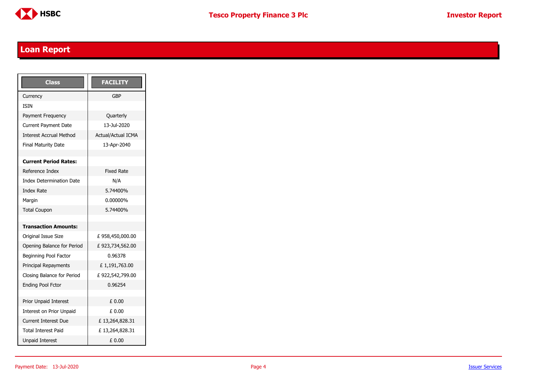

## <span id="page-3-0"></span>**Loan Report**

| <b>Class</b>                    | <b>FACILITY</b>           |
|---------------------------------|---------------------------|
| Currency                        | GBP                       |
| <b>TSTN</b>                     |                           |
| Payment Frequency               | Quarterly                 |
| <b>Current Payment Date</b>     | 13-Jul-2020               |
| <b>Interest Accrual Method</b>  | <b>Actual/Actual ICMA</b> |
| <b>Final Maturity Date</b>      | 13-Apr-2040               |
|                                 |                           |
| <b>Current Period Rates:</b>    |                           |
| Reference Index                 | <b>Fixed Rate</b>         |
| <b>Index Determination Date</b> | N/A                       |
| <b>Index Rate</b>               | 5.74400%                  |
| Margin                          | 0.00000%                  |
| <b>Total Coupon</b>             | 5.74400%                  |
|                                 |                           |
| <b>Transaction Amounts:</b>     |                           |
| Original Issue Size             | £958,450,000.00           |
| Opening Balance for Period      | £923,734,562.00           |
| Beginning Pool Factor           | 0.96378                   |
| Principal Repayments            | £1,191,763.00             |
| Closing Balance for Period      | £922,542,799.00           |
| <b>Ending Pool Fctor</b>        | 0.96254                   |
|                                 |                           |
| Prior Unpaid Interest           | £ 0.00                    |
| Interest on Prior Unpaid        | £ 0.00                    |
| <b>Current Interest Due</b>     | £13,264,828.31            |
| <b>Total Interest Paid</b>      | £13,264,828.31            |
| <b>Unpaid Interest</b>          | £ 0.00                    |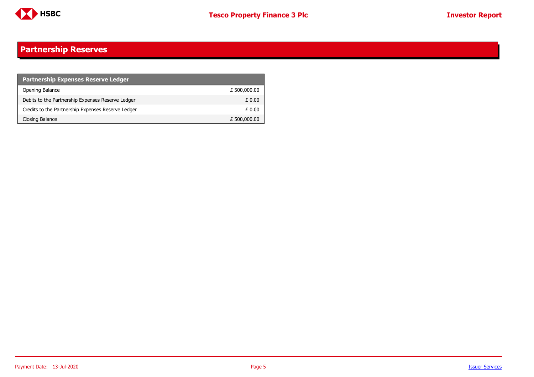

#### <span id="page-4-0"></span>**Partnership Reserves**

| <b>Partnership Expenses Reserve Ledger</b>         |              |
|----------------------------------------------------|--------------|
| Opening Balance                                    | £ 500,000.00 |
| Debits to the Partnership Expenses Reserve Ledger  | £ 0.00       |
| Credits to the Partnership Expenses Reserve Ledger | £ 0.00       |
| Closing Balance                                    | £ 500,000.00 |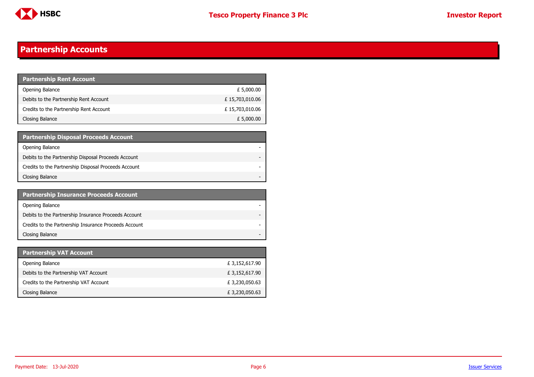

## <span id="page-5-0"></span>**Partnership Accounts**

| <b>Partnership Rent Account</b>         |                |
|-----------------------------------------|----------------|
| Opening Balance                         | £ 5,000.00     |
| Debits to the Partnership Rent Account  | £15,703,010.06 |
| Credits to the Partnership Rent Account | £15,703,010.06 |
| Closing Balance                         | £ 5,000.00     |

| <b>Partnership Disposal Proceeds Account</b>         |  |
|------------------------------------------------------|--|
| Opening Balance                                      |  |
| Debits to the Partnership Disposal Proceeds Account  |  |
| Credits to the Partnership Disposal Proceeds Account |  |
| Closing Balance                                      |  |

| <b>Partnership Insurance Proceeds Account</b>         |  |
|-------------------------------------------------------|--|
| Opening Balance                                       |  |
| Debits to the Partnership Insurance Proceeds Account  |  |
| Credits to the Partnership Insurance Proceeds Account |  |
| Closing Balance                                       |  |

| <b>Partnership VAT Account</b>         |                |
|----------------------------------------|----------------|
| Opening Balance                        | £ 3,152,617.90 |
| Debits to the Partnership VAT Account  | £ 3,152,617.90 |
| Credits to the Partnership VAT Account | £3,230,050.63  |
| Closing Balance                        | £3,230,050.63  |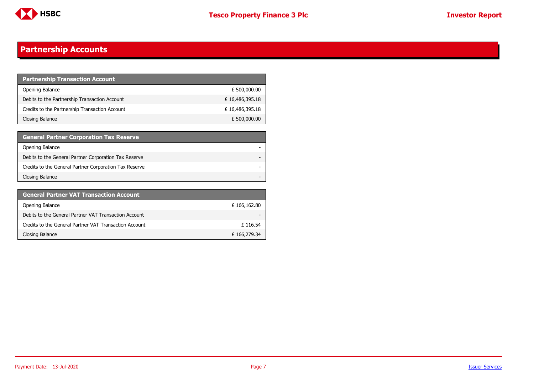

### **Partnership Accounts**

| <b>Partnership Transaction Account</b>         |                |
|------------------------------------------------|----------------|
| Opening Balance                                | £ 500,000.00   |
| Debits to the Partnership Transaction Account  | £16,486,395.18 |
| Credits to the Partnership Transaction Account | £16,486,395.18 |
| Closing Balance                                | £ 500,000.00   |

| <b>General Partner Corporation Tax Reserve</b>         |  |
|--------------------------------------------------------|--|
| Opening Balance                                        |  |
| Debits to the General Partner Corporation Tax Reserve  |  |
| Credits to the General Partner Corporation Tax Reserve |  |
| Closing Balance                                        |  |

| <b>General Partner VAT Transaction Account</b>         |             |
|--------------------------------------------------------|-------------|
| Opening Balance                                        | £166,162.80 |
| Debits to the General Partner VAT Transaction Account  | -           |
| Credits to the General Partner VAT Transaction Account | £116.54     |
| Closing Balance                                        | £166,279.34 |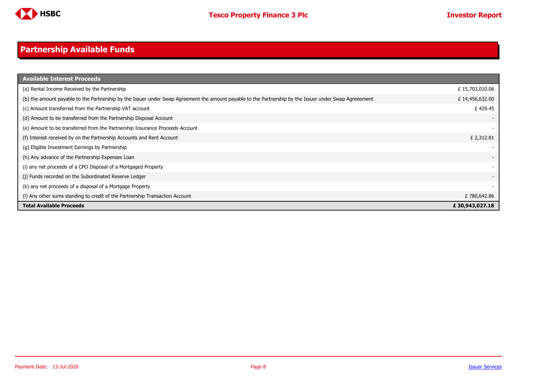

#### <span id="page-7-0"></span>**Partnership Available Funds**

| <b>Available Interest Proceeds</b>                                                                                                                     |                |
|--------------------------------------------------------------------------------------------------------------------------------------------------------|----------------|
| (a) Rental Income Received by the Partnership                                                                                                          | £15,703,010.06 |
| (b) the amount payable to the Partnership by the Issuer under Swap Agreement the amount payable to the Partnership by the Issuer under Swap Agreeement | £14,456,632.00 |
| (c) Amount transferred from the Partnership VAT account                                                                                                | £429.45        |
| (d) Amount to be transferred from the Partnership Disposal Account                                                                                     |                |
| (e) Amount to be transferred from the Partnership Insurance Proceeds Account                                                                           |                |
| (f) Interest received by on the Partnership Accounts and Rent Account                                                                                  | £ 2,312.81     |
| (g) Eligible Investment Earnings by Partnership                                                                                                        |                |
| (h) Any advance of the Partnership Expenses Loan                                                                                                       |                |
| (i) any net proceeds of a CPO Disposal of a Mortgaged Property                                                                                         |                |
| (i) Funds recorded on the Subordinated Reserve Ledger                                                                                                  |                |
| (k) any net proceeds of a disposal of a Mortgage Property                                                                                              |                |
| (I) Any other sums standing to credit of the Partnership Transaction Account                                                                           | £780,642.86    |
| <b>Total Available Proceeds</b>                                                                                                                        | £30,943,027.18 |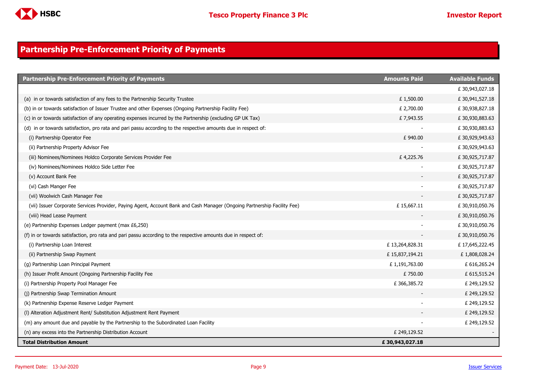

### <span id="page-8-0"></span>**Partnership Pre-Enforcement Priority of Payments**

| <b>Partnership Pre-Enforcement Priority of Payments</b>                                                                  | <b>Amounts Paid</b> | <b>Available Funds</b> |
|--------------------------------------------------------------------------------------------------------------------------|---------------------|------------------------|
|                                                                                                                          |                     | £30,943,027.18         |
| (a) in or towards satisfaction of any fees to the Partnership Security Trustee                                           | £1,500.00           | £30,941,527.18         |
| (b) in or towards satisfaction of Issuer Trustee and other Expenses (Ongoing Partnership Facility Fee)                   | £ 2,700.00          | £30,938,827.18         |
| (c) in or towards satisfaction of any operating expenses incurred by the Partnership (excluding GP UK Tax)               | £7,943.55           | £30,930,883.63         |
| (d) in or towards satisfaction, pro rata and pari passu according to the respective amounts due in respect of:           |                     | £30,930,883.63         |
| (i) Partnership Operator Fee                                                                                             | £940.00             | £30,929,943.63         |
| (ii) Partnership Property Advisor Fee                                                                                    |                     | £30,929,943.63         |
| (iii) Nominees/Nominees Holdco Corporate Services Provider Fee                                                           | £4,225.76           | £30,925,717.87         |
| (iv) Nominees/Nominees Holdco Side Letter Fee                                                                            |                     | £30,925,717.87         |
| (v) Account Bank Fee                                                                                                     |                     | £30,925,717.87         |
| (vi) Cash Manger Fee                                                                                                     |                     | £30,925,717.87         |
| (vii) Woolwich Cash Manager Fee                                                                                          |                     | £30,925,717.87         |
| (vii) Issuer Corporate Services Provider, Paying Agent, Account Bank and Cash Manager (Ongoing Partnership Facility Fee) | £15,667.11          | £30,910,050.76         |
| (viii) Head Lease Payment                                                                                                |                     | £30,910,050.76         |
| (e) Partnership Expenses Ledger payment (max £6,250)                                                                     |                     | £30,910,050.76         |
| (f) in or towards satisfaction, pro rata and pari passu according to the respective amounts due in respect of:           |                     | £30,910,050.76         |
| (i) Partnership Loan Interest                                                                                            | £13,264,828.31      | £17,645,222.45         |
| (ii) Partnership Swap Payment                                                                                            | £15,837,194.21      | £1,808,028.24          |
| (g) Partnership Loan Principal Payment                                                                                   | £1,191,763.00       | £ 616,265.24           |
| (h) Issuer Profit Amount (Ongoing Partnership Facility Fee                                                               | £750.00             | £ 615,515.24           |
| (i) Partnership Property Pool Manager Fee                                                                                | £366,385.72         | £ 249,129.52           |
| (j) Partnership Swap Termination Amount                                                                                  |                     | £ 249,129.52           |
| (k) Partnership Expense Reserve Ledger Payment                                                                           |                     | £ 249,129.52           |
| (I) Alteration Adjustment Rent/ Substitution Adjustment Rent Payment                                                     |                     | £ 249,129.52           |
| (m) any amount due and payable by the Partnership to the Subordinated Loan Facility                                      |                     | £ 249,129.52           |
| (n) any excess into the Partnership Distribution Account                                                                 | £ 249,129.52        |                        |
| <b>Total Distribution Amount</b>                                                                                         | £30,943,027.18      |                        |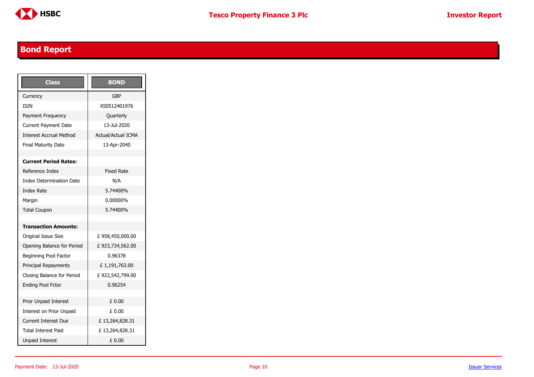

## <span id="page-9-0"></span>**Bond Report**

| <b>Class</b>                    | <b>BOND</b>               |
|---------------------------------|---------------------------|
| Currency                        | GBP                       |
| <b>TSTN</b>                     | XS0512401976              |
| Payment Frequency               | Quarterly                 |
| <b>Current Payment Date</b>     | 13-Jul-2020               |
| <b>Interest Accrual Method</b>  | <b>Actual/Actual ICMA</b> |
| <b>Final Maturity Date</b>      | 13-Apr-2040               |
|                                 |                           |
| <b>Current Period Rates:</b>    |                           |
| Reference Index                 | <b>Fixed Rate</b>         |
| <b>Index Determination Date</b> | N/A                       |
| <b>Index Rate</b>               | 5.74400%                  |
| Margin                          | 0.00000%                  |
| <b>Total Coupon</b>             | 5.74400%                  |
|                                 |                           |
| <b>Transaction Amounts:</b>     |                           |
| Original Issue Size             | £958,450,000.00           |
| Opening Balance for Period      | £923,734,562.00           |
| Beginning Pool Factor           | 0.96378                   |
| Principal Repayments            | £1,191,763.00             |
| Closing Balance for Period      | £922,542,799.00           |
| <b>Ending Pool Fctor</b>        | 0.96254                   |
|                                 |                           |
| <b>Prior Unpaid Interest</b>    | £ 0.00                    |
| Interest on Prior Unpaid        | £ 0.00                    |
| <b>Current Interest Due</b>     | £13,264,828.31            |
| Total Interest Paid             | £13,264,828.31            |
| <b>Unpaid Interest</b>          | £ 0.00                    |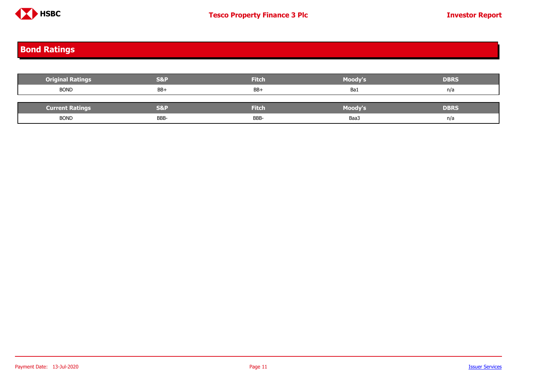

## <span id="page-10-0"></span>**Bond Ratings**

| <b>Original Ratings</b> | <b>S&amp;P</b> | <b>Fitch</b> | Moody's | <b>DBRS</b> |
|-------------------------|----------------|--------------|---------|-------------|
| <b>BOND</b>             | $BB+$          | $BB+$        | Ba1     | n/a         |
|                         |                |              |         |             |
| <b>Current Ratings</b>  | <b>S&amp;P</b> | <b>Fitch</b> | Moody's | <b>DBRS</b> |
| <b>BOND</b>             | <b>BBB</b>     | BBB-         | Baa3    | n/a         |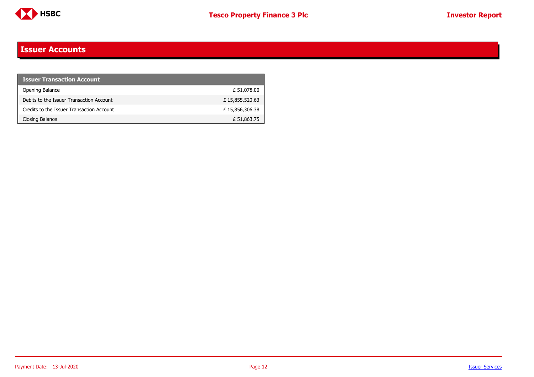

### <span id="page-11-0"></span>**Issuer Accounts**

| <b>Issuer Transaction Account</b>         |                |
|-------------------------------------------|----------------|
| Opening Balance                           | £ 51,078.00    |
| Debits to the Issuer Transaction Account  | £15,855,520.63 |
| Credits to the Issuer Transaction Account | £15,856,306.38 |
| Closing Balance                           | £ 51,863.75    |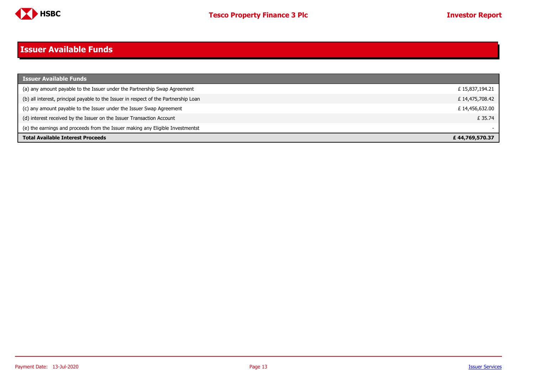

# <span id="page-12-0"></span>**Issuer Available Funds**

| <b>Issuer Available Funds</b>                                                        |                |
|--------------------------------------------------------------------------------------|----------------|
| (a) any amount payable to the Issuer under the Partnership Swap Agreement            | £15,837,194.21 |
| (b) all interest, principal payable to the Issuer in respect of the Partnership Loan | £14,475,708.42 |
| (c) any amount payable to the Issuer under the Issuer Swap Agreement                 | £14,456,632.00 |
| (d) interest received by the Issuer on the Issuer Transaction Account                | £ 35.74        |
| (e) the earnings and proceeds from the Issuer making any Eligible Investmentst       |                |
| <b>Total Available Interest Proceeds</b>                                             | £44,769,570.37 |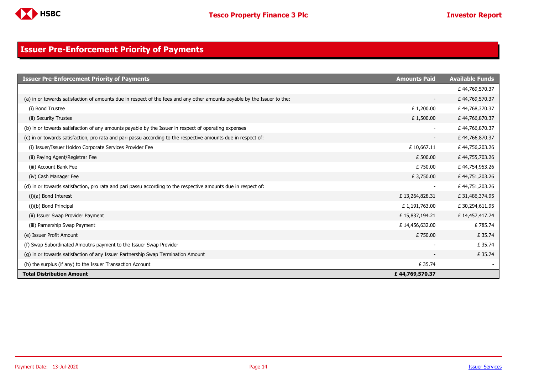

### <span id="page-13-0"></span>**Issuer Pre-Enforcement Priority of Payments**

| <b>Issuer Pre-Enforcement Priority of Payments</b>                                                                       | <b>Amounts Paid</b>      | <b>Available Funds</b> |
|--------------------------------------------------------------------------------------------------------------------------|--------------------------|------------------------|
|                                                                                                                          |                          | £44,769,570.37         |
| (a) in or towards satisfaction of amounts due in respect of the fees and any other amounts payable by the Issuer to the: | $\overline{\phantom{a}}$ | £44,769,570.37         |
| (i) Bond Trustee                                                                                                         | £1,200.00                | £44,768,370.37         |
| (ii) Security Trustee                                                                                                    | £1,500.00                | £44,766,870.37         |
| (b) in or towards satisfaction of any amounts payable by the Issuer in respect of operating expenses                     |                          | £44,766,870.37         |
| (c) in or towards satisfaction, pro rata and pari passu according to the respective amounts due in respect of:           | $\overline{\phantom{a}}$ | £44,766,870.37         |
| (i) Issuer/Issuer Holdco Corporate Services Provider Fee                                                                 | £10,667.11               | £44,756,203.26         |
| (ii) Paying Agent/Registrar Fee                                                                                          | £ 500.00                 | £44,755,703.26         |
| (iii) Account Bank Fee                                                                                                   | £750.00                  | £44,754,953.26         |
| (iv) Cash Manager Fee                                                                                                    | £ 3,750.00               | £44,751,203.26         |
| (d) in or towards satisfaction, pro rata and pari passu according to the respective amounts due in respect of:           |                          | £44,751,203.26         |
| $(i)(a)$ Bond Interest                                                                                                   | £13,264,828.31           | £31,486,374.95         |
| (i)(b) Bond Principal                                                                                                    | £1,191,763.00            | £30,294,611.95         |
| (ii) Issuer Swap Provider Payment                                                                                        | £15,837,194.21           | £14,457,417.74         |
| (iii) Parnership Swap Payment                                                                                            | £14,456,632.00           | £785.74                |
| (e) Issuer Profit Amount                                                                                                 | £750.00                  | £ 35.74                |
| (f) Swap Subordinated Amoutns payment to the Issuer Swap Provider                                                        |                          | £ 35.74                |
| (q) in or towards satisfaction of any Issuer Partnership Swap Termination Amount                                         |                          | £ 35.74                |
| (h) the surplus (if any) to the Issuer Transaction Account                                                               | £ 35.74                  |                        |
| <b>Total Distribution Amount</b>                                                                                         | £44,769,570.37           |                        |